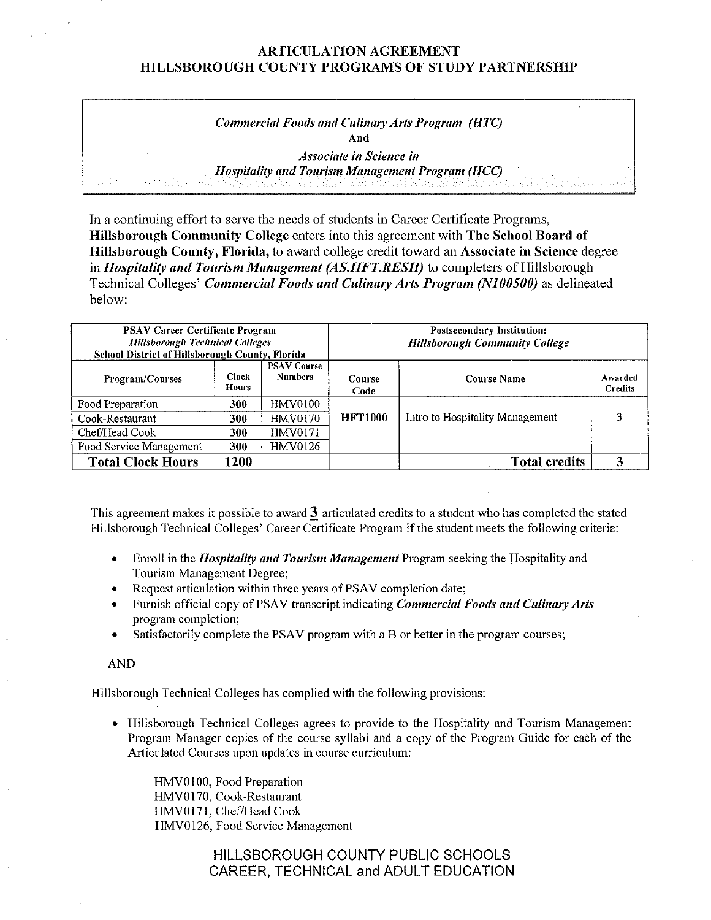| <b>Commercial Foods and Culinary Arts Program (HTC)</b>                                                        |
|----------------------------------------------------------------------------------------------------------------|
| And                                                                                                            |
| <i>Associate in Science in</i>                                                                                 |
| <b>Hospitality and Tourism Management Program (HCC)</b>                                                        |
| e e la sita a combos a miscopionesi indonesi iliterialismi ilinen informationi informa il platinosi con case d |

In a continuing effort to serve the needs of students in Career Certificate Programs, **Hillsborough Community College** enters into this agreement with **The School Board of Hillsborough County, Florida,** to award college credit toward an **Associate in Science** degree in *Hospitality and Tourism Management (AS.HFT.RESH)* to completers of Hillsborough Technical Colleges' *Commercial Foods and Culinary Arts Program (N100500)* as delineated below:

| <b>PSAV Career Certificate Program</b><br><b>Hillsborough Technical Colleges</b><br>School District of Hillsborough County, Florida |                              |                                      | <b>Postsecondary Institution:</b><br><b>Hillsborough Community College</b> |                                 |                           |  |
|-------------------------------------------------------------------------------------------------------------------------------------|------------------------------|--------------------------------------|----------------------------------------------------------------------------|---------------------------------|---------------------------|--|
| <b>Program/Courses</b>                                                                                                              | <b>Clock</b><br><b>Hours</b> | <b>PSAV Course</b><br><b>Numbers</b> | Course<br>Code                                                             | <b>Course Name</b>              | Awarded<br><b>Credits</b> |  |
| Food Preparation                                                                                                                    | 300                          | HMV0100                              |                                                                            |                                 |                           |  |
| Cook-Restaurant                                                                                                                     | 300                          | HMV0170                              | <b>HFT1000</b>                                                             | Intro to Hospitality Management |                           |  |
| Chef/Head Cook                                                                                                                      | 300                          | <b>HMV0171</b>                       |                                                                            |                                 |                           |  |
| Food Service Management                                                                                                             | 300                          | <b>HMV0126</b>                       |                                                                            |                                 |                           |  |
| <b>Total Clock Hours</b>                                                                                                            | 1200                         |                                      |                                                                            | <b>Total credits</b>            |                           |  |

This agreement makes it possible to award **J.** mticulated credits to a student who has completed the stated Hillsborough Technical Colleges' Career Certificate Program if the student meets the following criteria:

- Enroll in the *Hospitality and Tourism Management* Program seeking the Hospitality and Tourism Management Degree;
- Request articulation within three years of PSAV completion date;
- Furnish official copy of PSAV transcript indicating *Commercial Foods and Culinary Arts*  program completion;
- Satisfactorily complete the PSAV program with a B or better in the program courses;

AND

Hillsborough Technical Colleges has complied with the following provisions:

• Hillsborough Technical Colleges agrees to provide to the Hospitality and Tourism Management Program Manager copies of the course syllabi and a copy of the Program Guide for each of the Articulated Courses upon updates in course curriculum:

HMV0100, Food Preparation HMV0170, Cook-Restaurant HMV0171, Chef/Head Cook HMV0l26, Food Service Management

> HILLSBOROUGH COUNTY PUBLIC SCHOOLS CAREER, TECHNICAL and ADULT EDUCATION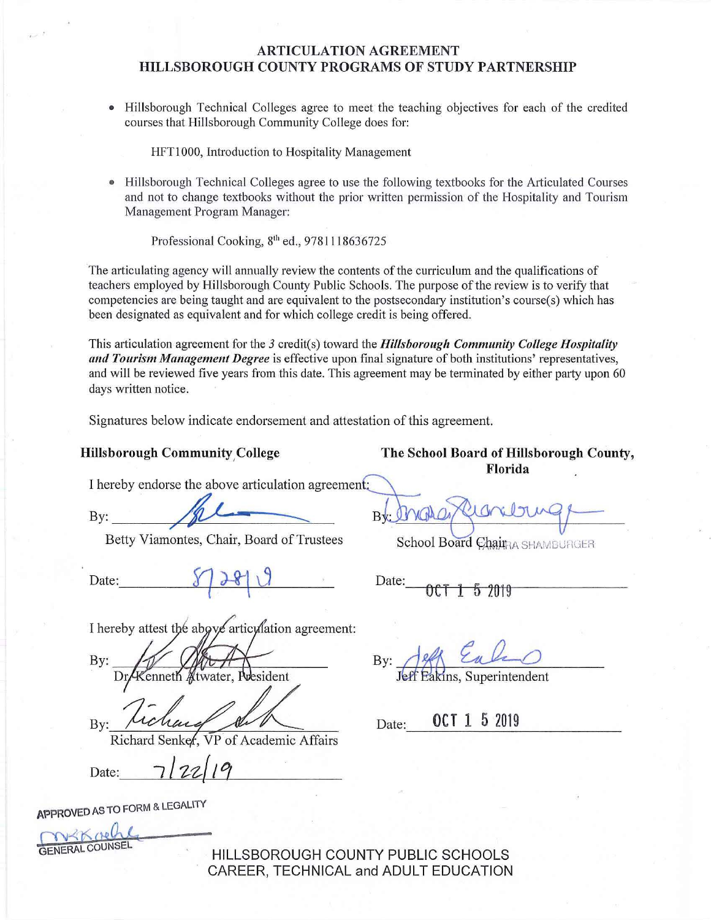• Hillsborough Technical Colleges agree to meet the teaching objectives for each of the credited courses that Hillsborough Community College does for:

HFTl 000, Introduction to Hospitality Management

• Hillsborough Technical Colleges agree to use the following textbooks for the A1ticulated Courses and not to change textbooks without the prior written permission of the Hospitality and Tourism Management Program Manager:

Professional Cooking, 8th ed., 9781118636725

The articulating agency will annually review the contents of the curriculum and the qualifications of teachers employed by Hillsborough County Public Schools. The purpose of the review is to verify that competencies are being taught and are equivalent to the postsecondary institution's course $(s)$  which has been designated as equivalent and for which college credit is being offered.

This articulation agreement for the *3* credit(s) toward the *Hillsborough Community College Hospitality*  and Tourism Management Degree is effective upon final signature of both institutions' representatives, and will be reviewed five years from this date. This agreement may be terminated by either party upon 60 days written notice.

Signatures below indicate endorsement and attestation of this agreement.

#### **Hillsborough Community College 32 Conservation School Board of Hillsborough County,**

**Florida** 

I hereby endorse the above articulation agreement:

Betty Viamontes, Chair, Board of Trustees School Board Chain SHAMBURGER

Date:  $\sqrt{28}$  J<br>Date:  $\sqrt{28}$  J

Florida<br>By: <u>A</u><br>Betty Viamontes. Chair. Board of Trustees<br>Betty Viamontes. Chair. Board of Trustees<br>School Board Chair. 9014191999

I hereby attest the above articulation agreement:

By: water. President

By:

Richard Senker. VP of Academic Affairs

Date:

**APPROVED** AS TO FORM & LEGALITY

GENERAL COUNSEL

HILLSBOROUGH COUNTY PUBLIC SCHOOLS CAREER, TECHNICAL and ADULT EDUCATION

By: Jeff Each

Date: **OCT 1 5** 2019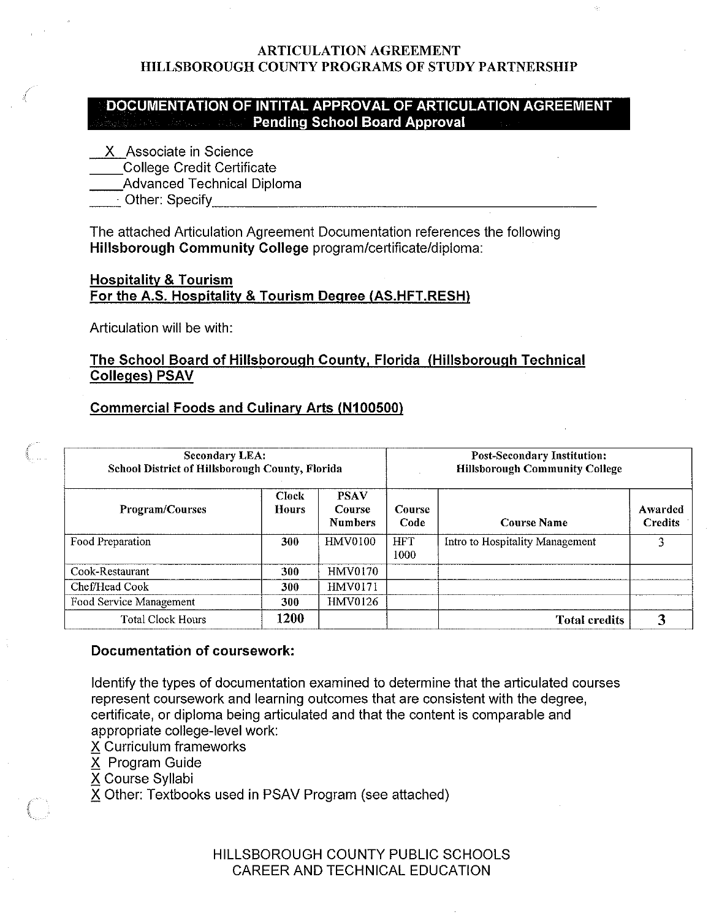## **DOCUMENTATION OF INTITAL APPROVAL OF ARTICULATION AGREEMENT Pending School Board Approval**

X Associate in Science

\_\_College Credit Certificate

\_\_Advanced Technical Diploma

\_\_· Other: Specify\_\_\_\_\_\_\_\_\_\_\_\_\_\_\_\_\_\_\_\_\_\_

The attached Articulation Agreement Documentation references the following **Hillsborough Community College** program/certificate/diploma:

## **Hospitality** & **Tourism For the A.S. Hospitality** & **Tourism Degree (AS.HFT.RESH)**

Articulation will be with:

# **The School Board of Hillsborough County, Florida (Hillsborough Technical Colleges) PSAV**

## **Commercial Foods and Culinary Arts (N100500)**

| <b>Secondary LEA:</b><br>School District of Hillsborough County, Florida |                       |                                                | <b>Post-Secondary Institution:</b><br><b>Hillsborough Community College</b> |                                 |                           |
|--------------------------------------------------------------------------|-----------------------|------------------------------------------------|-----------------------------------------------------------------------------|---------------------------------|---------------------------|
| <b>Program/Courses</b>                                                   | <b>Clock</b><br>Hours | <b>PSAV</b><br><b>Course</b><br><b>Numbers</b> | Course<br>Code                                                              | <b>Course Name</b>              | Awarded<br><b>Credits</b> |
| Food Preparation                                                         | 300                   | HMV0100                                        | <b>HFT</b><br>1000                                                          | Intro to Hospitality Management | 3                         |
| Cook-Restaurant                                                          | 300                   | <b>HMV0170</b>                                 |                                                                             |                                 |                           |
| Chef/Head Cook                                                           | 300                   | <b>HMV0171</b>                                 |                                                                             |                                 |                           |
| Food Service Management                                                  | 300                   | <b>HMV0126</b>                                 |                                                                             |                                 |                           |
| <b>Total Clock Hours</b>                                                 | 1200                  |                                                |                                                                             | <b>Total credits</b>            |                           |

## **Documentation of coursework:**

Identify the types of documentation examined to determine that the articulated courses represent coursework and learning outcomes that are consistent with the degree, certificate, or diploma being articulated and that the content is comparable and **appropriate college-level work:** 

X Curriculum frameworks

X Program Guide

**6 Course Syllabi** 

X Other: Textbooks used in PSAV Program (see attached)

HILLSBOROUGH COUNTY PUBLIC SCHOOLS CAREER AND TECHNICAL EDUCATION